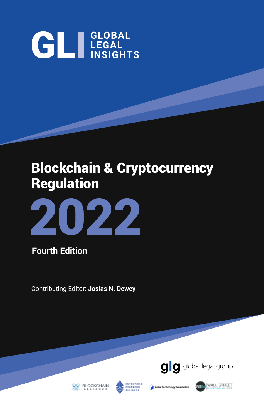# **GLI LEGAL LEGAL**

## Blockchain & Cryptocurrency Regulation



**Fourth Edition**

Contributing Editor: **Josias N. Dewey**







giobal legal group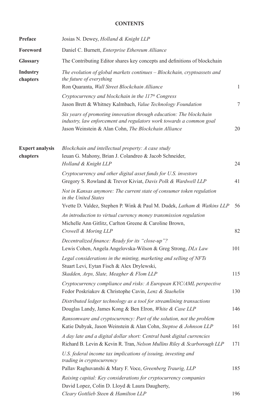#### **CONTENTS**

| Preface                            | Josias N. Dewey, Holland & Knight LLP                                                                                                                                                                  |            |
|------------------------------------|--------------------------------------------------------------------------------------------------------------------------------------------------------------------------------------------------------|------------|
| Foreword                           | Daniel C. Burnett, Enterprise Ethereum Alliance                                                                                                                                                        |            |
| <b>Glossary</b>                    | The Contributing Editor shares key concepts and definitions of blockchain                                                                                                                              |            |
| Industry<br>chapters               | The evolution of global markets continues – Blockchain, cryptoassets and<br>the future of everything<br>Ron Quaranta, Wall Street Blockchain Alliance                                                  | 1          |
|                                    | Cryptocurrency and blockchain in the 117th Congress<br>Jason Brett & Whitney Kalmbach, Value Technology Foundation                                                                                     | 7          |
|                                    | Six years of promoting innovation through education: The blockchain<br>industry, law enforcement and regulators work towards a common goal<br>Jason Weinstein & Alan Cohn, The Blockchain Alliance     | 20         |
| <b>Expert analysis</b><br>chapters | Blockchain and intellectual property: A case study<br>Ieuan G. Mahony, Brian J. Colandreo & Jacob Schneider,<br>Holland & Knight LLP                                                                   | 24         |
|                                    | Cryptocurrency and other digital asset funds for U.S. investors<br>Gregory S. Rowland & Trevor Kiviat, Davis Polk & Wardwell LLP                                                                       | 41         |
|                                    | Not in Kansas anymore: The current state of consumer token regulation<br>in the United States                                                                                                          |            |
|                                    | Yvette D. Valdez, Stephen P. Wink & Paul M. Dudek, Latham & Watkins LLP<br>An introduction to virtual currency money transmission regulation<br>Michelle Ann Gitlitz, Carlton Greene & Caroline Brown, | 56         |
|                                    | Crowell & Moring LLP<br>Decentralized finance: Ready for its "close-up"?<br>Lewis Cohen, Angela Angelovska-Wilson & Greg Strong, DLx Law                                                               | 82<br>101  |
|                                    | Legal considerations in the minting, marketing and selling of NFTs<br>Stuart Levi, Eytan Fisch & Alex Drylewski,                                                                                       |            |
|                                    | Skadden, Arps, Slate, Meagher & Flom LLP<br>Cryptocurrency compliance and risks: A European KYC/AML perspective<br>Fedor Poskriakov & Christophe Cavin, Lenz & Staehelin                               | 115<br>130 |
|                                    | Distributed ledger technology as a tool for streamlining transactions<br>Douglas Landy, James Kong & Ben Elron, White & Case LLP                                                                       | 146        |
|                                    | Ransomware and cryptocurrency: Part of the solution, not the problem<br>Katie Dubyak, Jason Weinstein & Alan Cohn, Steptoe & Johnson LLP                                                               | 161        |
|                                    | A day late and a digital dollar short: Central bank digital currencies<br>Richard B. Levin & Kevin R. Tran, Nelson Mullins Riley & Scarborough LLP                                                     | 171        |
|                                    | U.S. federal income tax implications of issuing, investing and<br>trading in cryptocurrency<br>Pallav Raghuvanshi & Mary F. Voce, Greenberg Traurig, LLP                                               | 185        |
|                                    | Raising capital: Key considerations for cryptocurrency companies<br>David Lopez, Colin D. Lloyd & Laura Daugherty,                                                                                     |            |
|                                    | Cleary Gottlieb Steen & Hamilton LLP                                                                                                                                                                   | 196        |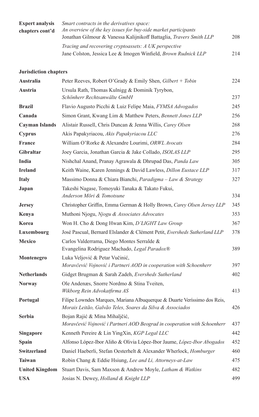| <b>Expert analysis</b> | Smart contracts in the derivatives space:                             |      |
|------------------------|-----------------------------------------------------------------------|------|
| chapters cont'd        | An overview of the key issues for buy-side market participants        |      |
|                        | Jonathan Gilmour & Vanessa Kalijnikoff Battaglia, Travers Smith LLP   | 208  |
|                        | Tracing and recovering cryptoassets: A UK perspective                 |      |
|                        | Jane Colston, Jessica Lee & Imogen Winfield, <i>Brown Rudnick LLP</i> | 2.14 |

#### **Jurisdiction chapters**

| <b>Australia</b>      | Peter Reeves, Robert O'Grady & Emily Shen, Gilbert + Tobin                                                                            | 224 |
|-----------------------|---------------------------------------------------------------------------------------------------------------------------------------|-----|
| Austria               | Ursula Rath, Thomas Kulnigg & Dominik Tyrybon,<br>Schönherr Rechtsanwälte GmbH                                                        | 237 |
| <b>Brazil</b>         | Flavio Augusto Picchi & Luiz Felipe Maia, FYMSA Advogados                                                                             | 245 |
| Canada                | Simon Grant, Kwang Lim & Matthew Peters, Bennett Jones LLP                                                                            | 256 |
| <b>Cayman Islands</b> | Alistair Russell, Chris Duncan & Jenna Willis, Carey Olsen                                                                            | 268 |
| <b>Cyprus</b>         | Akis Papakyriacou, Akis Papakyriacou LLC                                                                                              | 276 |
| <b>France</b>         | William O'Rorke & Alexandre Lourimi, ORWL Avocats                                                                                     | 284 |
| <b>Gibraltar</b>      | Joey Garcia, Jonathan Garcia & Jake Collado, ISOLAS LLP                                                                               | 295 |
| India                 | Nishchal Anand, Pranay Agrawala & Dhrupad Das, Panda Law                                                                              | 305 |
| <b>Ireland</b>        | Keith Waine, Karen Jennings & David Lawless, <i>Dillon Eustace LLP</i>                                                                | 317 |
| <b>Italy</b>          | Massimo Donna & Chiara Bianchi, <i>Paradigma – Law &amp; Strategy</i>                                                                 | 327 |
| Japan                 | Takeshi Nagase, Tomoyuki Tanaka & Takato Fukui,<br>Anderson Mōri & Tomotsune                                                          | 334 |
| <b>Jersey</b>         | Christopher Griffin, Emma German & Holly Brown, Carey Olsen Jersey LLP                                                                | 345 |
| Kenya                 | Muthoni Njogu, Njogu & Associates Advocates                                                                                           | 353 |
| Korea                 | Won H. Cho & Dong Hwan Kim, D'LIGHT Law Group                                                                                         | 367 |
| Luxembourg            | José Pascual, Bernard Elslander & Clément Petit, Eversheds Sutherland LLP                                                             | 378 |
| <b>Mexico</b>         | Carlos Valderrama, Diego Montes Serralde &<br>Evangelina Rodriguez Machado, Legal Paradox®                                            | 389 |
| Montenegro            | Luka Veljović & Petar Vučinić,<br>Moravčević Vojnović i Partneri AOD in cooperation with Schoenherr                                   | 397 |
| <b>Netherlands</b>    | Gidget Brugman & Sarah Zadeh, Eversheds Sutherland                                                                                    | 402 |
| <b>Norway</b>         | Ole Andenæs, Snorre Nordmo & Stina Tveiten,<br>Wikborg Rein Advokatfirma AS                                                           | 413 |
| Portugal              | Filipe Lowndes Marques, Mariana Albuquerque & Duarte Veríssimo dos Reis,<br>Morais Leitão, Galvão Teles, Soares da Silva & Associados | 426 |
| <b>Serbia</b>         | Bojan Rajić & Mina Mihaljčić,<br>Moravčević Vojnović i Partneri AOD Beograd in cooperation with Schoenherr                            | 437 |
| <b>Singapore</b>      | Kenneth Pereire & Lin YingXin, KGP Legal LLC                                                                                          | 442 |
| Spain                 | Alfonso López-Ibor Aliño & Olivia López-Ibor Jaume, López-Ibor Abogados                                                               | 452 |
| <b>Switzerland</b>    | Daniel Haeberli, Stefan Oesterhelt & Alexander Wherlock, Homburger                                                                    | 460 |
| <b>Taiwan</b>         | Robin Chang & Eddie Hsiung, Lee and Li, Attorneys-at-Law                                                                              | 475 |
| <b>United Kingdom</b> | Stuart Davis, Sam Maxson & Andrew Moyle, Latham & Watkins                                                                             | 482 |
| <b>USA</b>            | Josias N. Dewey, Holland & Knight LLP                                                                                                 | 499 |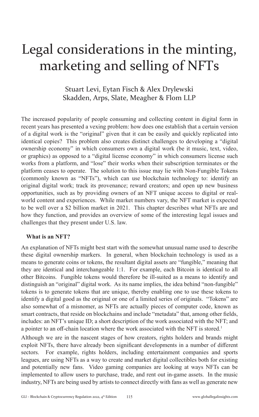## Legal considerations in the minting, marketing and selling of NFTs

#### Stuart Levi, Eytan Fisch & Alex Drylewski Skadden, Arps, Slate, Meagher & Flom LLP

The increased popularity of people consuming and collecting content in digital form in recent years has presented a vexing problem: how does one establish that a certain version of a digital work is the "original" given that it can be easily and quickly replicated into identical copies? This problem also creates distinct challenges to developing a "digital ownership economy" in which consumers own a digital work (be it music, text, video, or graphics) as opposed to a "digital license economy" in which consumers license such works from a platform, and "lose" their works when their subscription terminates or the platform ceases to operate. The solution to this issue may lie with Non-Fungible Tokens (commonly known as "NFTs"), which can use blockchain technology to: identify an original digital work; track its provenance; reward creators; and open up new business opportunities, such as by providing owners of an NFT unique access to digital or realworld content and experiences. While market numbers vary, the NFT market is expected to be well over a \$2 billion market in 2021. This chapter describes what NFTs are and how they function, and provides an overview of some of the interesting legal issues and challenges that they present under U.S. law.

#### **What is an NFT?**

An explanation of NFTs might best start with the somewhat unusual name used to describe these digital ownership markers. In general, when blockchain technology is used as a means to generate coins or tokens, the resultant digital assets are "fungible," meaning that they are identical and interchangeable 1:1. For example, each Bitcoin is identical to all other Bitcoins. Fungible tokens would therefore be ill-suited as a means to identify and distinguish an "original" digital work. As its name implies, the idea behind "non-fungible" tokens is to generate tokens that are unique, thereby enabling one to use these tokens to identify a digital good as the original or one of a limited series of originals. "Tokens" are also somewhat of a misnomer, as NFTs are actually pieces of computer code, known as smart contracts, that reside on blockchains and include "metadata" that, among other fields, includes: an NFT's unique ID; a short description of the work associated with the NFT; and a pointer to an off-chain location where the work associated with the NFT is stored.<sup>1</sup>

Although we are in the nascent stages of how creators, rights holders and brands might exploit NFTs, there have already been significant developments in a number of different sectors. For example, rights holders, including entertainment companies and sports leagues, are using NFTs as a way to create and market digital collectibles both for existing and potentially new fans. Video gaming companies are looking at ways NFTs can be implemented to allow users to purchase, trade, and rent out in-game assets. In the music industry, NFTs are being used by artists to connect directly with fans as well as generate new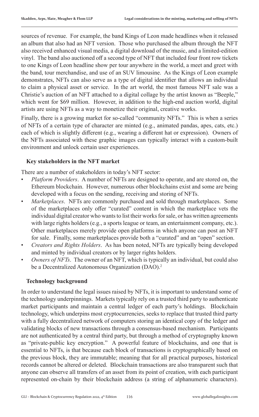sources of revenue. For example, the band Kings of Leon made headlines when it released an album that also had an NFT version. Those who purchased the album through the NFT also received enhanced visual media, a digital download of the music, and a limited-edition vinyl. The band also auctioned off a second type of NFT that included four front row tickets to one Kings of Leon headline show per tour anywhere in the world, a meet and greet with the band, tour merchandise, and use of an SUV limousine. As the Kings of Leon example demonstrates, NFTs can also serve as a type of digital identifier that allows an individual to claim a physical asset or service. In the art world, the most famous NFT sale was a Christie's auction of an NFT attached to a digital collage by the artist known as "Beeple," which went for \$69 million. However, in addition to the high-end auction world, digital artists are using NFTs as a way to monetize their original, creative works.

Finally, there is a growing market for so-called "community NFTs." This is when a series of NFTs of a certain type of character are minted (e.g., animated pandas, apes, cats, etc.) each of which is slightly different (e.g., wearing a different hat or expression). Owners of the NFTs associated with these graphic images can typically interact with a custom-built environment and unlock certain user experiences.

#### **Key stakeholders in the NFT market**

There are a number of stakeholders in today's NFT sector:

- *Platform Providers*. A number of NFTs are designed to operate, and are stored on, the Ethereum blockchain. However, numerous other blockchains exist and some are being developed with a focus on the sending, receiving and storing of NFTs.
- *Marketplaces*. NFTs are commonly purchased and sold through marketplaces. Some of the marketplaces only offer "curated" content in which the marketplace vets the individual digital creator who wants to list their works for sale, or has written agreements with large rights holders (e.g., a sports league or team, an entertainment company, etc.). Other marketplaces merely provide open platforms in which anyone can post an NFT for sale. Finally, some marketplaces provide both a "curated" and an "open" section.
- *Creators and Rights Holders*. As has been noted, NFTs are typically being developed and minted by individual creators or by larger rights holders.
- *Owners of NFTs*. The owner of an NFT, which is typically an individual, but could also be a Decentralized Autonomous Organization (DAO).<sup>2</sup>

#### **Technology background**

In order to understand the legal issues raised by NFTs, it is important to understand some of the technology underpinnings. Markets typically rely on a trusted third party to authenticate market participants and maintain a central ledger of each party's holdings. Blockchain technology, which underpins most cryptocurrencies, seeks to replace that trusted third party with a fully decentralized network of computers storing an identical copy of the ledger and validating blocks of new transactions through a consensus-based mechanism. Participants are not authenticated by a central third party, but through a method of cryptography known as "private-public key encryption." A powerful feature of blockchains, and one that is essential to NFTs, is that because each block of transactions is cryptographically based on the previous block, they are immutable; meaning that for all practical purposes, historical records cannot be altered or deleted. Blockchain transactions are also transparent such that anyone can observe all transfers of an asset from its point of creation, with each participant represented on-chain by their blockchain address (a string of alphanumeric characters).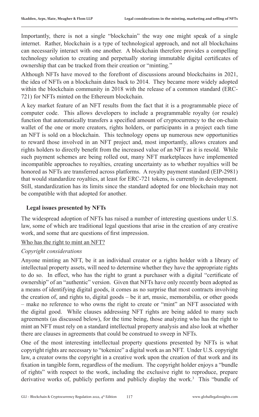Importantly, there is not a single "blockchain" the way one might speak of a single internet. Rather, blockchain is a type of technological approach, and not all blockchains can necessarily interact with one another. A blockchain therefore provides a compelling technology solution to creating and perpetually storing immutable digital certificates of ownership that can be tracked from their creation or "minting."

Although NFTs have moved to the forefront of discussions around blockchains in 2021, the idea of NFTs on a blockchain dates back to 2014. They became more widely adopted within the blockchain community in 2018 with the release of a common standard (ERC-721) for NFTs minted on the Ethereum blockchain.

A key market feature of an NFT results from the fact that it is a programmable piece of computer code. This allows developers to include a programmable royalty (or resale) function that automatically transfers a specified amount of cryptocurrency to the on-chain wallet of the one or more creators, rights holders, or participants in a project each time an NFT is sold on a blockchain. This technology opens up numerous new opportunities to reward those involved in an NFT project and, most importantly, allows creators and rights holders to directly benefit from the increased value of an NFT as it is resold. While such payment schemes are being rolled out, many NFT marketplaces have implemented incompatible approaches to royalties, creating uncertainty as to whether royalties will be honored as NFTs are transferred across platforms. A royalty payment standard (EIP-2981) that would standardize royalties, at least for ERC-721 tokens, is currently in development. Still, standardization has its limits since the standard adopted for one blockchain may not be compatible with that adopted for another.

#### **Legal issues presented by NFTs**

The widespread adoption of NFTs has raised a number of interesting questions under U.S. law, some of which are traditional legal questions that arise in the creation of any creative work, and some that are questions of first impression.

#### Who has the right to mint an NFT?

#### *Copyright considerations*

Anyone minting an NFT, be it an individual creator or a rights holder with a library of intellectual property assets, will need to determine whether they have the appropriate rights to do so. In effect, who has the right to grant a purchaser with a digital "certificate of ownership" of an "authentic" version. Given that NFTs have only recently been adopted as a means of identifying digital goods, it comes as no surprise that most contracts involving the creation of, and rights to, digital goods – be it art, music, memorabilia, or other goods – make no reference to who owns the right to create or "mint" an NFT associated with the digital good. While clauses addressing NFT rights are being added to many such agreements (as discussed below), for the time being, those analyzing who has the right to mint an NFT must rely on a standard intellectual property analysis and also look at whether there are clauses in agreements that could be construed to sweep in NFTs.

One of the most interesting intellectual property questions presented by NFTs is what copyright rights are necessary to "tokenize" a digital work as an NFT. Under U.S. copyright law, a creator owns the copyright in a creative work upon the creation of that work and its fixation in tangible form, regardless of the medium. The copyright holder enjoys a "bundle of rights" with respect to the work, including the exclusive right to reproduce, prepare derivative works of, publicly perform and publicly display the work.<sup>3</sup> This "bundle of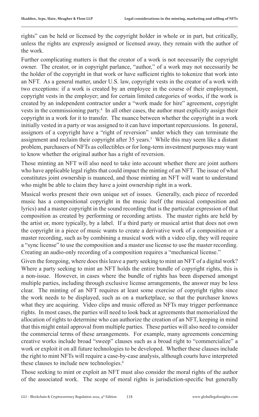rights" can be held or licensed by the copyright holder in whole or in part, but critically, unless the rights are expressly assigned or licensed away, they remain with the author of the work.

Further complicating matters is that the creator of a work is not necessarily the copyright owner. The creator, or in copyright parlance, "author," of a work may not necessarily be the holder of the copyright in that work or have sufficient rights to tokenize that work into an NFT. As a general matter, under U.S. law, copyright vests in the creator of a work with two exceptions: if a work is created by an employee in the course of their employment, copyright vests in the employer; and for certain limited categories of works, if the work is created by an independent contractor under a "work made for hire" agreement, copyright vests in the commissioning party.4 In all other cases, the author must explicitly assign their copyright in a work for it to transfer. The nuance between whether the copyright in a work initially vested in a party or was assigned to it can have important repercussions. In general, assignors of a copyright have a "right of reversion" under which they can terminate the assignment and reclaim their copyright after  $35 \text{ years}$ . While this may seem like a distant problem, purchasers of NFTs as collectibles or for long-term investment purposes may want to know whether the original author has a right of reversion.

Those minting an NFT will also need to take into account whether there are joint authors who have applicable legal rights that could impact the minting of an NFT. The issue of what constitutes joint ownership is nuanced, and those minting an NFT will want to understand who might be able to claim they have a joint ownership right in a work.

Musical works present their own unique set of issues. Generally, each piece of recorded music has a compositional copyright in the music itself (the musical composition and lyrics) and a master copyright in the sound recording that is the particular expression of that composition as created by performing or recording artists. The master rights are held by the artist or, more typically, by a label. If a third party or musical artist that does not own the copyright in a piece of music wants to create a derivative work of a composition or a master recording, such as by combining a musical work with a video clip, they will require a "sync license" to use the composition and a master use license to use the master recording. Creating an audio-only recording of a composition requires a "mechanical license."

Given the foregoing, where does this leave a party seeking to mint an NFT of a digital work? Where a party seeking to mint an NFT holds the entire bundle of copyright rights, this is a non-issue. However, in cases where the bundle of rights has been dispersed amongst multiple parties, including through exclusive license arrangements, the answer may be less clear. The minting of an NFT requires at least some exercise of copyright rights since the work needs to be displayed, such as on a marketplace, so that the purchaser knows what they are acquiring. Video clips and music offered as NFTs may trigger performance rights. In most cases, the parties will need to look back at agreements that memorialized the allocation of rights to determine who can authorize the creation of an NFT, keeping in mind that this might entail approval from multiple parties. These parties will also need to consider the commercial terms of these arrangements. For example, many agreements concerning creative works include broad "sweep" clauses such as a broad right to "commercialize" a work or exploit it on all future technologies to be developed. Whether these clauses include the right to mint NFTs will require a case-by-case analysis, although courts have interpreted these clauses to include new technologies.<sup>6</sup>

Those seeking to mint or exploit an NFT must also consider the moral rights of the author of the associated work. The scope of moral rights is jurisdiction-specific but generally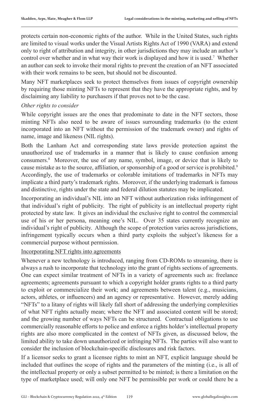protects certain non-economic rights of the author. While in the United States, such rights are limited to visual works under the Visual Artists Rights Act of 1990 (VARA) and extend only to right of attribution and integrity, in other jurisdictions they may include an author's control over whether and in what way their work is displayed and how it is used.7 Whether an author can seek to invoke their moral rights to prevent the creation of an NFT associated with their work remains to be seen, but should not be discounted.

Many NFT marketplaces seek to protect themselves from issues of copyright ownership by requiring those minting NFTs to represent that they have the appropriate rights, and by disclaiming any liability to purchasers if that proves not to be the case.

#### *Other rights to consider*

While copyright issues are the ones that predominate to date in the NFT sectors, those minting NFTs also need to be aware of issues surrounding trademarks (to the extent incorporated into an NFT without the permission of the trademark owner) and rights of name, image and likeness (NIL rights).

Both the Lanham Act and corresponding state laws provide protection against the unauthorized use of trademarks in a manner that is likely to cause confusion among consumers.8 Moreover, the use of any name, symbol, image, or device that is likely to cause mistake as to the source, affiliation, or sponsorship of a good or service is prohibited.<sup>9</sup> Accordingly, the use of trademarks or colorable imitations of trademarks in NFTs may implicate a third party's trademark rights. Moreover, if the underlying trademark is famous and distinctive, rights under the state and federal dilution statutes may be implicated.

Incorporating an individual's NIL into an NFT without authorization risks infringement of that individual's right of publicity. The right of publicity is an intellectual property right protected by state law. It gives an individual the exclusive right to control the commercial use of his or her persona, meaning one's NIL. Over 35 states currently recognize an individual's right of publicity. Although the scope of protection varies across jurisdictions, infringement typically occurs when a third party exploits the subject's likeness for a commercial purpose without permission.

Incorporating NFT rights into agreements

Whenever a new technology is introduced, ranging from CD-ROMs to streaming, there is always a rush to incorporate that technology into the grant of rights sections of agreements. One can expect similar treatment of NFTs in a variety of agreements such as: freelance agreements; agreements pursuant to which a copyright holder grants rights to a third party to exploit or commercialize their work; and agreements between talent (e.g., musicians, actors, athletes, or influencers) and an agency or representative. However, merely adding "NFTs" to a litany of rights will likely fall short of addressing the underlying complexities of what NFT rights actually mean; where the NFT and associated content will be stored; and the growing number of ways NFTs can be structured. Contractual obligations to use commercially reasonable efforts to police and enforce a rights holder's intellectual property rights are also more complicated in the context of NFTs given, as discussed below, the limited ability to take down unauthorized or infringing NFTs. The parties will also want to consider the inclusion of blockchain-specific disclosures and risk factors.

If a licensor seeks to grant a licensee rights to mint an NFT, explicit language should be included that outlines the scope of rights and the parameters of the minting (i.e., is all of the intellectual property or only a subset permitted to be minted; is there a limitation on the type of marketplace used; will only one NFT be permissible per work or could there be a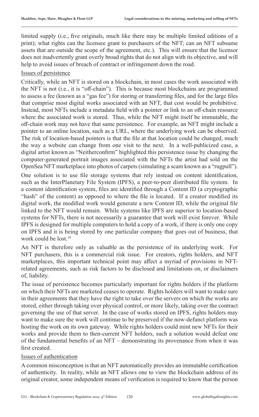limited supply (i.e., five originals, much like there may be multiple limited editions of a print); what rights can the licensee grant to purchasers of the NFT; can an NFT subsume assets that are outside the scope of the agreement, etc.). This will ensure that the licensor does not inadvertently grant overly broad rights that do not align with its objective, and will help to avoid issues of breach of contract or infringement down the road.

#### Issues of persistence

Critically, while an NFT is stored on a blockchain, in most cases the work associated with the NFT is not (i.e., it is "off-chain"). This is because most blockchains are programmed to assess a fee (known as a "gas fee") for storing or transferring files, and for the large files that comprise most digital works associated with an NFT, that cost would be prohibitive. Instead, most NFTs include a metadata field with a pointer or link to an off-chain resource where the associated work is stored. Thus, while the NFT might itself be immutable, the off-chain work may not have that same persistence. For example, an NFT might include a pointer to an online location, such as a URL, where the underlying work can be observed. The risk of location-based pointers is that the file at that location could be changed, much the way a website can change from one visit to the next. In a well-publicized case, a digital artist known as "Neitherconfirm" highlighted this persistence issue by changing the computer-generated portrait images associated with the NFTs the artist had sold on the OpenSea NFT marketplace into photos of carpets (simulating a scam known as a "rugpull").

One solution is to use file storage systems that rely instead on content identification, such as the InterPlanetary File System (IPFS), a peer-to-peer distributed file system. In a content identification system, files are identified through a Content ID (a cryptographic "hash" of the content) as opposed to where the file is located. If a creator modified its digital work, the modified work would generate a new Content ID, while the original file linked to the NFT would remain. While systems like IPFS are superior to location-based systems for NFTs, there is not necessarily a guarantee that work will exist forever. While IPFS is designed for multiple computers to hold a copy of a work, if there is only one copy on IPFS and it is being stored by one particular company that goes out of business, that work could be lost.<sup>10</sup>

An NFT is therefore only as valuable as the persistence of its underlying work. For NFT purchasers, this is a commercial risk issue. For creators, rights holders, and NFT marketplaces, this important technical point may affect a myriad of provisions in NFTrelated agreements, such as risk factors to be disclosed and limitations on, or disclaimers of, liability.

The issue of persistence becomes particularly important for rights holders if the platform on which their NFTs are marketed ceases to operate. Rights holders will want to make sure in their agreements that they have the right to take over the servers on which the works are stored, either through taking over physical control, or more likely, taking over the contract governing the use of that server. In the case of works stored on IPFS, rights holders may want to make sure the work will continue to be preserved if the now-defunct platform was hosting the work on its own gateway. While rights holders could mint new NFTs for their works and provide them to then-current NFT holders, such a solution would defeat one of the fundamental benefits of an NFT – demonstrating its provenance from when it was first created.

#### Issues of authentication

A common misconception is that an NFT automatically provides an immutable certification of authenticity. In reality, while an NFT allows one to view the blockchain address of its original creator, some independent means of verification is required to know that the person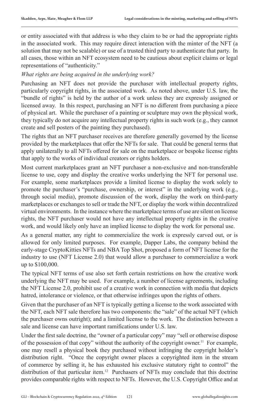or entity associated with that address is who they claim to be or had the appropriate rights in the associated work. This may require direct interaction with the minter of the NFT (a solution that may not be scalable) or use of a trusted third party to authenticate that party. In all cases, those within an NFT ecosystem need to be cautious about explicit claims or legal representations of "authenticity."

#### *What rights are being acquired in the underlying work?*

Purchasing an NFT does not provide the purchaser with intellectual property rights, particularly copyright rights, in the associated work. As noted above, under U.S. law, the "bundle of rights" is held by the author of a work unless they are expressly assigned or licensed away. In this respect, purchasing an NFT is no different from purchasing a piece of physical art. While the purchaser of a painting or sculpture may own the physical work, they typically do not acquire any intellectual property rights in such work (e.g., they cannot create and sell posters of the painting they purchased).

The rights that an NFT purchaser receives are therefore generally governed by the license provided by the marketplaces that offer the NFTs for sale. That could be general terms that apply unilaterally to all NFTs offered for sale on the marketplace or bespoke license rights that apply to the works of individual creators or rights holders.

Most current marketplaces grant an NFT purchaser a non-exclusive and non-transferable license to use, copy and display the creative works underlying the NFT for personal use. For example, some marketplaces provide a limited license to display the work solely to promote the purchaser's "purchase, ownership, or interest" in the underlying work (e.g., through social media), promote discussion of the work, display the work on third-party marketplaces or exchanges to sell or trade the NFT, or display the work within decentralized virtual environments. In the instance where the marketplace terms of use are silent on license rights, the NFT purchaser would not have any intellectual property rights in the creative work, and would likely only have an implied license to display the work for personal use.

As a general matter, any right to commercialize the work is expressly carved out, or is allowed for only limited purposes. For example, Dapper Labs, the company behind the early-stage CryptoKitties NFTs and NBA Top Shot, proposed a form of NFT license for the industry to use (NFT License 2.0) that would allow a purchaser to commercialize a work up to \$100,000.

The typical NFT terms of use also set forth certain restrictions on how the creative work underlying the NFT may be used. For example, a number of license agreements, including the NFT License 2.0, prohibit use of a creative work in connection with media that depicts hatred, intolerance or violence, or that otherwise infringes upon the rights of others.

Given that the purchaser of an NFT is typically getting a license to the work associated with the NFT, each NFT sale therefore has two components: the "sale" of the actual NFT (which the purchaser owns outright); and a limited license to the work. The distinction between a sale and license can have important ramifications under U.S. law.

Under the first sale doctrine, the "owner of a particular copy" may "sell or otherwise dispose of the possession of that copy" without the authority of the copyright owner.11 For example, one may resell a physical book they purchased without infringing the copyright holder's distribution right. "Once the copyright owner places a copyrighted item in the stream of commerce by selling it, he has exhausted his exclusive statutory right to control" the distribution of that particular item.12 Purchasers of NFTs may conclude that this doctrine provides comparable rights with respect to NFTs. However, the U.S. Copyright Office and at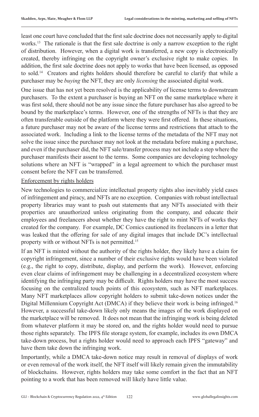least one court have concluded that the first sale doctrine does not necessarily apply to digital works.13 The rationale is that the first sale doctrine is only a narrow exception to the right of distribution. However, when a digital work is transferred, a new copy is electronically created, thereby infringing on the copyright owner's exclusive right to make copies. In addition, the first sale doctrine does not apply to works that have been licensed, as opposed to sold.14 Creators and rights holders should therefore be careful to clarify that while a purchaser may be *buying* the NFT, they are only *licensing* the associated digital work.

One issue that has not yet been resolved is the applicability of license terms to downstream purchasers. To the extent a purchaser is buying an NFT on the same marketplace where it was first sold, there should not be any issue since the future purchaser has also agreed to be bound by the marketplace's terms. However, one of the strengths of NFTs is that they are often transferable outside of the platform where they were first offered. In these situations, a future purchaser may not be aware of the license terms and restrictions that attach to the associated work. Including a link to the license terms of the metadata of the NFT may not solve the issue since the purchaser may not look at the metadata before making a purchase, and even if the purchaser did, the NFT sale/transfer process may not include a step where the purchaser manifests their assent to the terms. Some companies are developing technology solutions where an NFT is "wrapped" in a legal agreement to which the purchaser must consent before the NFT can be transferred.

#### Enforcement by rights holders

New technologies to commercialize intellectual property rights also inevitably yield cases of infringement and piracy, and NFTs are no exception. Companies with robust intellectual property libraries may want to push out statements that any NFTs associated with their properties are unauthorized unless originating from the company, and educate their employees and freelancers about whether they have the right to mint NFTs of works they created for the company. For example, DC Comics cautioned its freelancers in a letter that was leaked that the offering for sale of any digital images that include DC's intellectual property with or without NFTs is not permitted.15

If an NFT is minted without the authority of the rights holder, they likely have a claim for copyright infringement, since a number of their exclusive rights would have been violated (e.g., the right to copy, distribute, display, and perform the work). However, enforcing even clear claims of infringement may be challenging in a decentralized ecosystem where identifying the infringing party may be difficult. Rights holders may have the most success focusing on the centralized touch points of this ecosystem, such as NFT marketplaces. Many NFT marketplaces allow copyright holders to submit take-down notices under the Digital Millennium Copyright Act (DMCA) if they believe their work is being infringed.<sup>16</sup> However, a successful take-down likely only means the images of the work displayed on the marketplace will be removed. It does not mean that the infringing work is being deleted from whatever platform it may be stored on, and the rights holder would need to pursue those rights separately. The IPFS file storage system, for example, includes its own DMCA take-down process, but a rights holder would need to approach each IPFS "gateway" and have them take down the infringing work.

Importantly, while a DMCA take-down notice may result in removal of displays of work or even removal of the work itself, the NFT itself will likely remain given the immutability of blockchains. However, rights holders may take some comfort in the fact that an NFT pointing to a work that has been removed will likely have little value.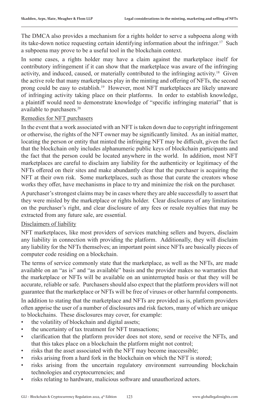The DMCA also provides a mechanism for a rights holder to serve a subpoena along with its take-down notice requesting certain identifying information about the infringer.17 Such a subpoena may prove to be a useful tool in the blockchain context.

In some cases, a rights holder may have a claim against the marketplace itself for contributory infringement if it can show that the marketplace was aware of the infringing activity, and induced, caused, or materially contributed to the infringing activity.<sup>18</sup> Given the active role that many marketplaces play in the minting and offering of NFTs, the second prong could be easy to establish.19 However, most NFT marketplaces are likely unaware of infringing activity taking place on their platforms. In order to establish knowledge, a plaintiff would need to demonstrate knowledge of "specific infringing material" that is available to purchasers.<sup>20</sup>

#### Remedies for NFT purchasers

In the event that a work associated with an NFT is taken down due to copyright infringement or otherwise, the rights of the NFT owner may be significantly limited. As an initial matter, locating the person or entity that minted the infringing NFT may be difficult, given the fact that the blockchain only includes alphanumeric public keys of blockchain participants and the fact that the person could be located anywhere in the world. In addition, most NFT marketplaces are careful to disclaim any liability for the authenticity or legitimacy of the NFTs offered on their sites and make abundantly clear that the purchaser is acquiring the NFT at their own risk. Some marketplaces, such as those that curate the creators whose works they offer, have mechanisms in place to try and minimize the risk on the purchaser.

A purchaser's strongest claims may be in cases where they are able successfully to assert that they were misled by the marketplace or rights holder. Clear disclosures of any limitations on the purchaser's right, and clear disclosure of any fees or resale royalties that may be extracted from any future sale, are essential.

#### Disclaimers of liability

NFT marketplaces, like most providers of services matching sellers and buyers, disclaim any liability in connection with providing the platform. Additionally, they will disclaim any liability for the NFTs themselves; an important point since NFTs are basically pieces of computer code residing on a blockchain.

The terms of service commonly state that the marketplace, as well as the NFTs, are made available on an "as is" and "as available" basis and the provider makes no warranties that the marketplace or NFTs will be available on an uninterrupted basis or that they will be accurate, reliable or safe. Purchasers should also expect that the platform providers will not guarantee that the marketplace or NFTs will be free of viruses or other harmful components.

In addition to stating that the marketplace and NFTs are provided as is, platform providers often apprise the user of a number of disclosures and risk factors, many of which are unique to blockchains. These disclosures may cover, for example:

- the volatility of blockchain and digital assets;
- the uncertainty of tax treatment for NFT transactions;
- clarification that the platform provider does not store, send or receive the NFTs, and that this takes place on a blockchain the platform might not control;
- risks that the asset associated with the NFT may become inaccessible;
- risks arising from a hard fork in the blockchain on which the NFT is stored;
- risks arising from the uncertain regulatory environment surrounding blockchain technologies and cryptocurrencies; and
- risks relating to hardware, malicious software and unauthorized actors.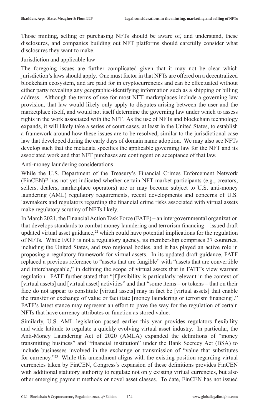Those minting, selling or purchasing NFTs should be aware of, and understand, these disclosures, and companies building out NFT platforms should carefully consider what disclosures they want to make.

#### Jurisdiction and applicable law

The foregoing issues are further complicated given that it may not be clear which jurisdiction's laws should apply. One must factor in that NFTs are offered on a decentralized blockchain ecosystem, and are paid for in cryptocurrencies and can be effectuated without either party revealing any geographic-identifying information such as a shipping or billing address. Although the terms of use for most NFT marketplaces include a governing law provision, that law would likely only apply to disputes arising between the user and the marketplace itself, and would not itself determine the governing law under which to assess rights in the work associated with the NFT. As the use of NFTs and blockchain technology expands, it will likely take a series of court cases, at least in the United States, to establish a framework around how these issues are to be resolved, similar to the jurisdictional case law that developed during the early days of domain name adoption. We may also see NFTs develop such that the metadata specifies the applicable governing law for the NFT and its associated work and that NFT purchases are contingent on acceptance of that law.

#### Anti-money laundering considerations

While the U.S. Department of the Treasury's Financial Crimes Enforcement Network  $(FinCEN)^{21}$  has not yet indicated whether certain NFT market participants (e.g., creators, sellers, dealers, marketplace operators) are or may become subject to U.S. anti-money laundering (AML) regulatory requirements, recent developments and concerns of U.S. lawmakers and regulators regarding the financial crime risks associated with virtual assets make regulatory scrutiny of NFTs likely.

In March 2021, the Financial Action Task Force (FATF) – an intergovernmental organization that develops standards to combat money laundering and terrorism financing – issued draft updated virtual asset guidance,<sup>22</sup> which could have potential implications for the regulation of NFTs. While FATF is not a regulatory agency, its membership comprises 37 countries, including the United States, and two regional bodies, and it has played an active role in proposing a regulatory framework for virtual assets. In its updated draft guidance, FATF replaced a previous reference to "assets that are fungible" with "assets that are convertible and interchangeable," in defining the scope of virtual assets that in FATF's view warrant regulation. FATF further stated that "[f]lexibility is particularly relevant in the context of [virtual assets] and [virtual asset] activities" and that "some items – or tokens – that on their face do not appear to constitute [virtual assets] may in fact be [virtual assets] that enable the transfer or exchange of value or facilitate [money laundering or terrorism financing]." FATF's latest stance may represent an effort to pave the way for the regulation of certain NFTs that have currency attributes or function as stored value.

Similarly, U.S. AML legislation passed earlier this year provides regulators flexibility and wide latitude to regulate a quickly evolving virtual asset industry. In particular, the Anti-Money Laundering Act of 2020 (AMLA) expanded the definitions of "money transmitting business" and "financial institution" under the Bank Secrecy Act (BSA) to include businesses involved in the exchange or transmission of "value that substitutes for currency."<sup>23</sup> While this amendment aligns with the existing position regarding virtual currencies taken by FinCEN, Congress's expansion of these definitions provides FinCEN with additional statutory authority to regulate not only existing virtual currencies, but also other emerging payment methods or novel asset classes. To date, FinCEN has not issued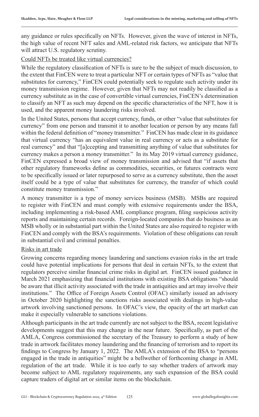any guidance or rules specifically on NFTs. However, given the wave of interest in NFTs, the high value of recent NFT sales and AML-related risk factors, we anticipate that NFTs will attract U.S. regulatory scrutiny.

#### Could NFTs be treated like virtual currencies?

While the regulatory classification of NFTs is sure to be the subject of much discussion, to the extent that FinCEN were to treat a particular NFT or certain types of NFTs as "value that substitutes for currency," FinCEN could potentially seek to regulate such activity under its money transmission regime. However, given that NFTs may not readily be classified as a currency substitute as in the case of convertible virtual currencies, FinCEN's determination to classify an NFT as such may depend on the specific characteristics of the NFT, how it is used, and the apparent money laundering risks involved.

In the United States, persons that accept currency, funds, or other "value that substitutes for currency" from one person and transmit it to another location or person by any means fall within the federal definition of "money transmitter." FinCEN has made clear in its guidance that virtual currency "has an equivalent value in real currency or acts as a substitute for real currency" and that "[a]ccepting and transmitting anything of value that substitutes for currency makes a person a money transmitter." In its May 2019 virtual currency guidance, FinCEN expressed a broad view of money transmission and advised that "if assets that other regulatory frameworks define as commodities, securities, or futures contracts were to be specifically issued or later repurposed to serve as a currency substitute, then the asset itself could be a type of value that substitutes for currency, the transfer of which could constitute money transmission."

A money transmitter is a type of money services business (MSB). MSBs are required to register with FinCEN and must comply with extensive requirements under the BSA, including implementing a risk-based AML compliance program, filing suspicious activity reports and maintaining certain records. Foreign-located companies that do business as an MSB wholly or in substantial part within the United States are also required to register with FinCEN and comply with the BSA's requirements. Violation of these obligations can result in substantial civil and criminal penalties.

#### Risks in art trade

Growing concerns regarding money laundering and sanctions evasion risks in the art trade could have potential implications for persons that deal in certain NFTs, to the extent that regulators perceive similar financial crime risks in digital art. FinCEN issued guidance in March 2021 emphasizing that financial institutions with existing BSA obligations "should be aware that illicit activity associated with the trade in antiquities and art may involve their institutions." The Office of Foreign Assets Control (OFAC) similarly issued an advisory in October 2020 highlighting the sanctions risks associated with dealings in high-value artwork involving sanctioned persons. In OFAC's view, the opacity of the art market can make it especially vulnerable to sanctions violations.

Although participants in the art trade currently are not subject to the BSA, recent legislative developments suggest that this may change in the near future. Specifically, as part of the AMLA, Congress commissioned the secretary of the Treasury to perform a study of how trade in artwork facilitates money laundering and the financing of terrorism and to report its findings to Congress by January 1, 2022. The AMLA's extension of the BSA to "persons engaged in the trade in antiquities" might be a bellwether of forthcoming change in AML regulation of the art trade. While it is too early to say whether traders of artwork may become subject to AML regulatory requirements, any such expansion of the BSA could capture traders of digital art or similar items on the blockchain.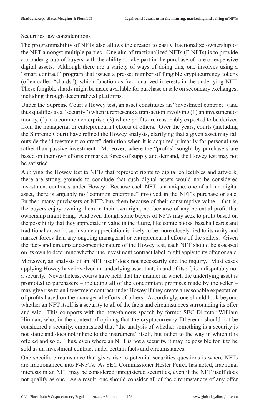#### Securities law considerations

The programmability of NFTs also allows the creator to easily fractionalize ownership of the NFT amongst multiple parties. One aim of fractionalized NFTs (F-NFTs) is to provide a broader group of buyers with the ability to take part in the purchase of rare or expensive digital assets. Although there are a variety of ways of doing this, one involves using a "smart contract" program that issues a pre-set number of fungible cryptocurrency tokens (often called "shards"), which function as fractionalized interests in the underlying NFT. These fungible shards might be made available for purchase or sale on secondary exchanges, including through decentralized platforms.

Under the Supreme Court's Howey test, an asset constitutes an "investment contract" (and thus qualifies as a "security") when it represents a transaction involving (1) an investment of money, (2) in a common enterprise, (3) where profits are reasonably expected to be derived from the managerial or entrepreneurial efforts of others. Over the years, courts (including the Supreme Court) have refined the Howey analysis, clarifying that a given asset may fall outside the "investment contract" definition when it is acquired primarily for personal use rather than passive investment. Moreover, where the "profits" sought by purchasers are based on their own efforts or market forces of supply and demand, the Howey test may not be satisfied.

Applying the Howey test to NFTs that represent rights to digital collectibles and artwork, there are strong grounds to conclude that such digital assets would not be considered investment contracts under Howey. Because each NFT is a unique, one-of-a-kind digital asset, there is arguably no "common enterprise" involved in the NFT's purchase or sale. Further, many purchasers of NFTs buy them because of their consumptive value – that is, the buyers enjoy owning them in their own right, not because of any potential profit that ownership might bring. And even though some buyers of NFTs may seek to profit based on the possibility that they appreciate in value in the future, like comic books, baseball cards and traditional artwork, such value appreciation is likely to be more closely tied to its rarity and market forces than any ongoing managerial or entrepreneurial efforts of the sellers. Given the fact- and circumstance-specific nature of the Howey test, each NFT should be assessed on its own to determine whether the investment contract label might apply to its offer or sale.

Moreover, an analysis of an NFT itself does not necessarily end the inquiry. Most cases applying Howey have involved an underlying asset that, in and of itself, is indisputably not a security. Nevertheless, courts have held that the manner in which the underlying asset is promoted to purchasers – including all of the concomitant promises made by the seller – may give rise to an investment contract under Howey if they create a reasonable expectation of profits based on the managerial efforts of others. Accordingly, one should look beyond whether an NFT itself is a security to all of the facts and circumstances surrounding its offer and sale. This comports with the now-famous speech by former SEC Director William Hinman, who, in the context of opining that the cryptocurrency Ethereum should not be considered a security, emphasized that "the analysis of whether something is a security is not static and does not inhere to the instrument" itself, but rather to the way in which it is offered and sold. Thus, even where an NFT is not a security, it may be possible for it to be sold as an investment contract under certain facts and circumstances.

One specific circumstance that gives rise to potential securities questions is where NFTs are fractionalized into F-NFTs. As SEC Commissioner Hester Peirce has noted, fractional interests in an NFT may be considered unregistered securities, even if the NFT itself does not qualify as one. As a result, one should consider all of the circumstances of any offer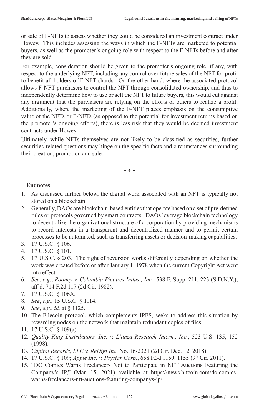or sale of F-NFTs to assess whether they could be considered an investment contract under Howey. This includes assessing the ways in which the F-NFTs are marketed to potential buyers, as well as the promoter's ongoing role with respect to the F-NFTs before and after they are sold.

For example, consideration should be given to the promoter's ongoing role, if any, with respect to the underlying NFT, including any control over future sales of the NFT for profit to benefit all holders of F-NFT shards. On the other hand, where the associated protocol allows F-NFT purchasers to control the NFT through consolidated ownership, and thus to independently determine how to use or sell the NFT to future buyers, this would cut against any argument that the purchasers are relying on the efforts of others to realize a profit. Additionally, where the marketing of the F-NFT places emphasis on the consumptive value of the NFTs or F-NFTs (as opposed to the potential for investment returns based on the promoter's ongoing efforts), there is less risk that they would be deemed investment contracts under Howey.

Ultimately, while NFTs themselves are not likely to be classified as securities, further securities-related questions may hinge on the specific facts and circumstances surrounding their creation, promotion and sale.

\* \* \*

#### **Endnotes**

- 1. As discussed further below, the digital work associated with an NFT is typically not stored on a blockchain.
- 2. Generally, DAOs are blockchain-based entities that operate based on a set of pre-defined rules or protocols governed by smart contracts. DAOs leverage blockchain technology to decentralize the organizational structure of a corporation by providing mechanisms to record interests in a transparent and decentralized manner and to permit certain processes to be automated, such as transferring assets or decision-making capabilities.
- 3. 17 U.S.C. § 106.
- 4. 17 U.S.C. § 101.
- 5. 17 U.S.C. § 203. The right of reversion works differently depending on whether the work was created before or after January 1, 1978 when the current Copyright Act went into effect.
- 6. *See*, *e.g.*, *Rooney v. Columbia Pictures Indus., Inc.*, 538 F. Supp. 211, 223 (S.D.N.Y.), aff'd, 714 F.2d 117 (2d Cir. 1982).
- 7. 17 U.S.C. § 106A.
- 8. *See*, *e.g.*, 15 U.S.C. § 1114.
- 9. *See*, *e.g.*, *id.* at § 1125.
- 10. The Filecoin protocol, which complements IPFS, seeks to address this situation by rewarding nodes on the network that maintain redundant copies of files.
- 11. 17 U.S.C. § 109(a).
- 12. *Quality King Distributors, Inc. v. L'anza Research Intern., Inc.*, 523 U.S. 135, 152 (1998).
- 13. *Capitol Records, LLC v. ReDigi Inc*. No. 16-2321 (2d Cir. Dec. 12, 2018).
- 14. 17 U.S.C. § 109; *Apple Inc. v. Psystar Corp.*, 658 F.3d 1150, 1155 (9<sup>th</sup> Cir. 2011).
- 15. "DC Comics Warns Freelancers Not to Participate in NFT Auctions Featuring the Company's IP," (Mar. 15, 2021) available at https://news.bitcoin.com/dc-comicswarns-freelancers-nft-auctions-featuring-companys-ip/.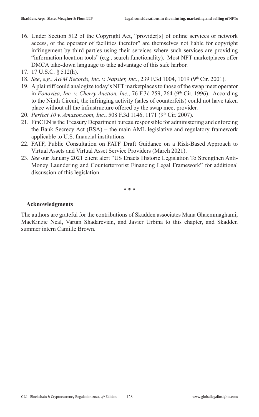- 16. Under Section 512 of the Copyright Act, "provider[s] of online services or network access, or the operator of facilities therefor" are themselves not liable for copyright infringement by third parties using their services where such services are providing "information location tools" (e.g., search functionality). Most NFT marketplaces offer DMCA take-down language to take advantage of this safe harbor.
- 17. 17 U.S.C. § 512(h).
- 18. *See*, *e.g.*, *A&M Records, Inc. v. Napster, Inc.*, 239 F.3d 1004, 1019 (9<sup>th</sup> Cir. 2001).
- 19. A plaintiff could analogize today's NFT marketplaces to those of the swap meet operator in *Fonovisa, Inc. v. Cherry Auction, Inc.*, 76 F.3d 259, 264 (9<sup>th</sup> Cir. 1996). According to the Ninth Circuit, the infringing activity (sales of counterfeits) could not have taken place without all the infrastructure offered by the swap meet provider.
- 20. *Perfect 10 v. Amazon.com, Inc.*, 508 F.3d 1146, 1171 (9<sup>th</sup> Cir. 2007).
- 21. FinCEN is the Treasury Department bureau responsible for administering and enforcing the Bank Secrecy Act (BSA) – the main AML legislative and regulatory framework applicable to U.S. financial institutions.
- 22. FATF, Public Consultation on FATF Draft Guidance on a Risk-Based Approach to Virtual Assets and Virtual Asset Service Providers (March 2021).
- 23. *See* our January 2021 client alert "US Enacts Historic Legislation To Strengthen Anti-Money Laundering and Counterterrorist Financing Legal Framework" for additional discussion of this legislation.

\* \* \*

#### **Acknowledgments**

The authors are grateful for the contributions of Skadden associates Mana Ghaemmaghami, MacKinzie Neal, Vartan Shadarevian, and Javier Urbina to this chapter, and Skadden summer intern Camille Brown.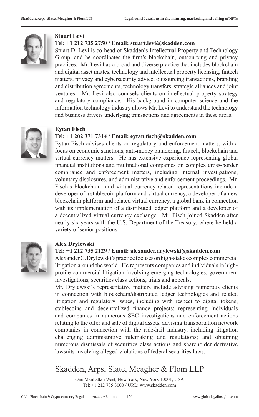

#### **Stuart Levi**

#### **Tel: +1 212 735 2750 / Email: stuart.levi@skadden.com**

Stuart D. Levi is co-head of Skadden's Intellectual Property and Technology Group, and he coordinates the firm's blockchain, outsourcing and privacy practices. Mr. Levi has a broad and diverse practice that includes blockchain and digital asset mattes, technology and intellectual property licensing, fintech matters, privacy and cybersecurity advice, outsourcing transactions, branding and distribution agreements, technology transfers, strategic alliances and joint ventures. Mr. Levi also counsels clients on intellectual property strategy and regulatory compliance. His background in computer science and the information technology industry allows Mr. Levi to understand the technology and business drivers underlying transactions and agreements in these areas.



#### **Eytan Fisch**

#### **Tel: +1 202 371 7314 / Email: eytan.fisch@skadden.com**

Eytan Fisch advises clients on regulatory and enforcement matters, with a focus on economic sanctions, anti-money laundering, fintech, blockchain and virtual currency matters. He has extensive experience representing global financial institutions and multinational companies on complex cross-border compliance and enforcement matters, including internal investigations, voluntary disclosures, and administrative and enforcement proceedings. Mr. Fisch's blockchain- and virtual currency-related representations include a developer of a stablecoin platform and virtual currency, a developer of a new blockchain platform and related virtual currency, a global bank in connection with its implementation of a distributed ledger platform and a developer of a decentralized virtual currency exchange. Mr. Fisch joined Skadden after nearly six years with the U.S. Department of the Treasury, where he held a variety of senior positions.



#### **Alex Drylewski**

#### **Tel: +1 212 735 2129 / Email: alexander.drylewski@skadden.com**

Alexander C. Drylewski's practice focuses on high-stakes complex commercial litigation around the world. He represents companies and individuals in highprofile commercial litigation involving emerging technologies, government investigations, securities class actions, trials and appeals.

Mr. Drylewski's representative matters include advising numerous clients in connection with blockchain/distributed ledger technologies and related litigation and regulatory issues, including with respect to digital tokens, stablecoins and decentralized finance projects; representing individuals and companies in numerous SEC investigations and enforcement actions relating to the offer and sale of digital assets; advising transportation network companies in connection with the ride-hail industry, including litigation challenging administrative rulemaking and regulations; and obtaining numerous dismissals of securities class actions and shareholder derivative lawsuits involving alleged violations of federal securities laws.

#### Skadden, Arps, Slate, Meagher & Flom LLP

One Manhattan West, New York, New York 10001, USA Tel: +1 212 735 3000 / URL: www.skadden.com